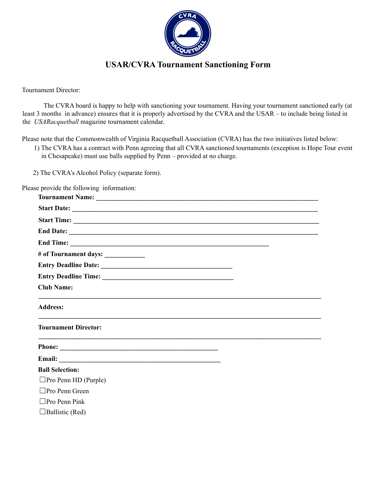

## **USAR/CVRA Tournament Sanctioning Form**

Tournament Director:

The CVRA board is happy to help with sanctioning your tournament. Having your tournament sanctioned early (at least 3 months in advance) ensures that it is properly advertised by the CVRA and the USAR – to include being listed in the *USARacquetball* magazine tournament calendar.

Please note that the Commonwealth of Virginia Racquetball Association (CVRA) has the two initiatives listed below:

1) The CVRA has a contract with Penn agreeing that all CVRA sanctioned tournaments (exception is Hope Tour event in Chesapeake) must use balls supplied by Penn – provided at no charge.

2) The CVRA's Alcohol Policy (separate form).

Please provide the following information:

| # of Tournament days: ____________ |
|------------------------------------|
|                                    |
|                                    |
| <b>Club Name:</b>                  |
| <b>Address:</b>                    |
| <b>Tournament Director:</b>        |
|                                    |
|                                    |
| <b>Ball Selection:</b>             |
| $\square$ Pro Penn HD (Purple)     |
| $\square$ Pro Penn Green           |
| $\Box$ Pro Penn Pink               |
| $\Box$ Ballistic (Red)             |
|                                    |